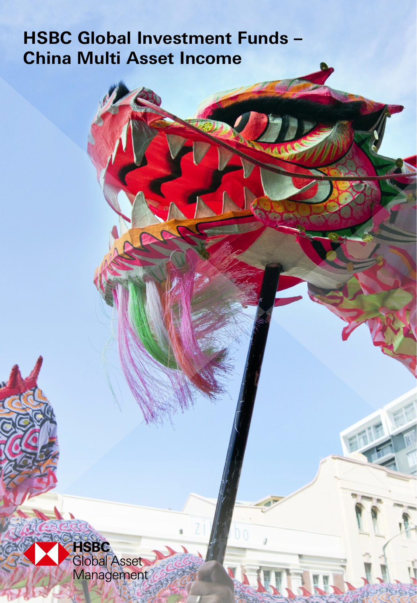# **HSBC Global Investment Funds – China Multi Asset Income**

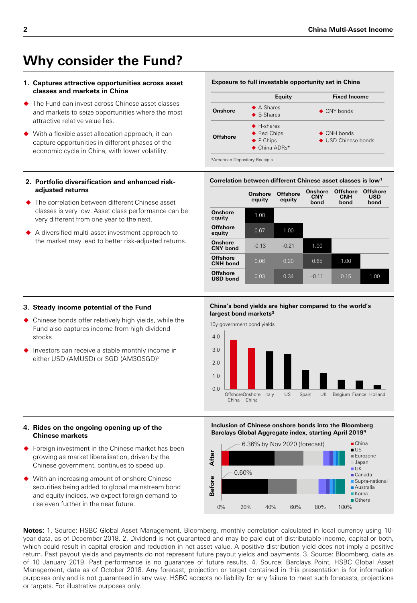## **Why consider the Fund?**

#### **1. Captures attractive opportunities across asset classes and markets in China**

- The Fund can invest across Chinese asset classes and markets to seize opportunities where the most attractive relative value lies.
- ◆ With a flexible asset allocation approach, it can capture opportunities in different phases of the economic cycle in China, with lower volatility.

#### **2. Portfolio diversification and enhanced riskadjusted returns**

- The correlation between different Chinese asset classes is very low. Asset class performance can be very different from one year to the next.
- A diversified multi-asset investment approach to the market may lead to better risk-adjusted returns.

#### Exposure to full investable opportunity set in China



#### Correlation between different Chinese asset classes is low<sup>1</sup>

|                                    | Onshore<br>equity | <b>Offshore</b><br>equity | Onshore<br><b>CNY</b><br>bond | <b>Offshore</b><br><b>CNH</b><br>bond | <b>Offshore</b><br><b>USD</b><br>bond |
|------------------------------------|-------------------|---------------------------|-------------------------------|---------------------------------------|---------------------------------------|
| Onshore<br>equity                  | 1.00              |                           |                               |                                       |                                       |
| <b>Offshore</b><br>equity          | 0.67              | 1.00                      |                               |                                       |                                       |
| Onshore<br><b>CNY</b> bond         | $-0.13$           | $-0.21$                   | 1.00                          |                                       |                                       |
| <b>Offshore</b><br><b>CNH</b> bond | 0.06              | 0.20                      | 0.65                          | 1.00                                  |                                       |
| <b>Offshore</b><br><b>USD bond</b> | 0.03              | 0.34                      | $-0.11$                       | 0.15                                  | 1.00                                  |

#### **3. Steady income potential of the Fund**

- Chinese bonds offer relatively high yields, while the Fund also captures income from high dividend stocks.
- $\blacklozenge$  Investors can receive a stable monthly income in either USD (AMUSD) or SGD (AM3OSGD)<sup>2</sup>

#### China's bond yields are higher compared to the world's largest bond markets<sup>3</sup>



#### **4. Rides on the ongoing opening up of the Chinese markets**

- ◆ Foreign investment in the Chinese market has been growing as market liberalisation, driven by the Chinese government, continues to speed up.
- ◆ With an increasing amount of onshore Chinese securities being added to global mainstream bond and equity indices, we expect foreign demand to rise even further in the near future.

#### **Inclusion of Chinese onshore bonds into the Bloomberg Barclays Global Aggregate index, starting April 2019<sup>4</sup>**



Notes: 1. Source: HSBC Global Asset Management, Bloomberg, monthly correlation calculated in local currency using 10year data, as of December 2018. 2. Dividend is not guaranteed and may be paid out of distributable income, capital or both, which could result in capital erosion and reduction in net asset value. A positive distribution yield does not imply a positive return. Past payout yields and payments do not represent future payout yields and payments. 3. Source: Bloomberg, data as of 10 January 2019. Past performance is no guarantee of future results. 4. Source: Barclays Point, HSBC Global Asset Management, data as of October 2018. Any forecast, projection or target contained in this presentation is for information purposes only and is not guaranteed in any way. HSBC accepts no liability for any failure to meet such forecasts, projections or targets. For illustrative purposes only.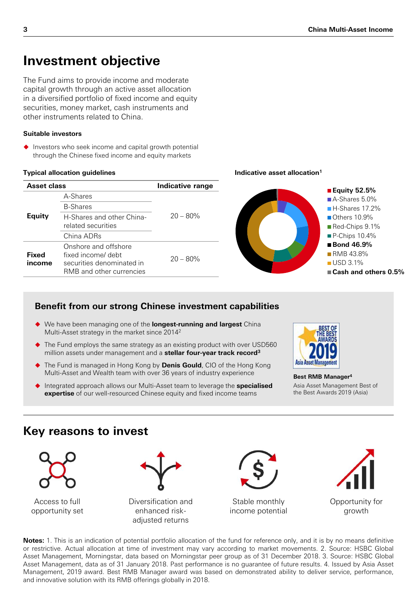## **Investment objective**

The Fund aims to provide income and moderate capital growth through an active asset allocation in a diversified portfolio of fixed income and equity securities, money market, cash instruments and other instruments related to China.

## Suitable investors

 $\blacklozenge$  Investors who seek income and capital growth potential through the Chinese fixed income and equity markets

### **Typical allocation guidelines**

| Asset class     |                                                                                                     | Indicative range |  |
|-----------------|-----------------------------------------------------------------------------------------------------|------------------|--|
|                 | A-Shares                                                                                            |                  |  |
| Equity          | <b>B-Shares</b>                                                                                     |                  |  |
|                 | H-Shares and other China-<br>related securities                                                     | $20 - 80%$       |  |
|                 | China ADRs                                                                                          |                  |  |
| Fixed<br>income | Onshore and offshore<br>fixed income/ debt<br>securities denominated in<br>RMB and other currencies | $20 - 80%$       |  |

### **Indicative asset allocation<sup>1</sup>**



## **Benefit from our strong Chinese investment capabilities**

- We have been managing one of the longest-running and largest China Multi-Asset strategy in the market since 2014<sup>2</sup>
- The Fund employs the same strategy as an existing product with over USD560 million assets under management and a stellar four-year track record<sup>3</sup>
- ◆ The Fund is managed in Hong Kong by Denis Gould, CIO of the Hong Kong Multi-Asset and Wealth team with over 36 years of industry experience
- ♦ Integrated approach allows our Multi-Asset team to leverage the **specialised expertise** of our well-resourced Chinese equity and fixed income teams



Best RMB Manager<sup>4</sup> Asia Asset Management Best of the Best Awards 2019 (Asia)

## **Key reasons to invest**



Access to full opportunity set



Diversification and enhanced riskadjusted returns



Stable monthly income potential



Notes: 1. This is an indication of potential portfolio allocation of the fund for reference only, and it is by no means definitive or restrictive. Actual allocation at time of investment may vary according to market movements. 2. Source: HSBC Global Asset Management, Morningstar, data based on Morningstar peer group as of 31 December 2018. 3. Source: HSBC Global Asset Management, data as of 31 January 2018. Past performance is no guarantee of future results. 4. Issued by Asia Asset Management, 2019 award. Best RMB Manager award was based on demonstrated ability to deliver service, performance, and innovative solution with its RMB offerings globally in 2018.